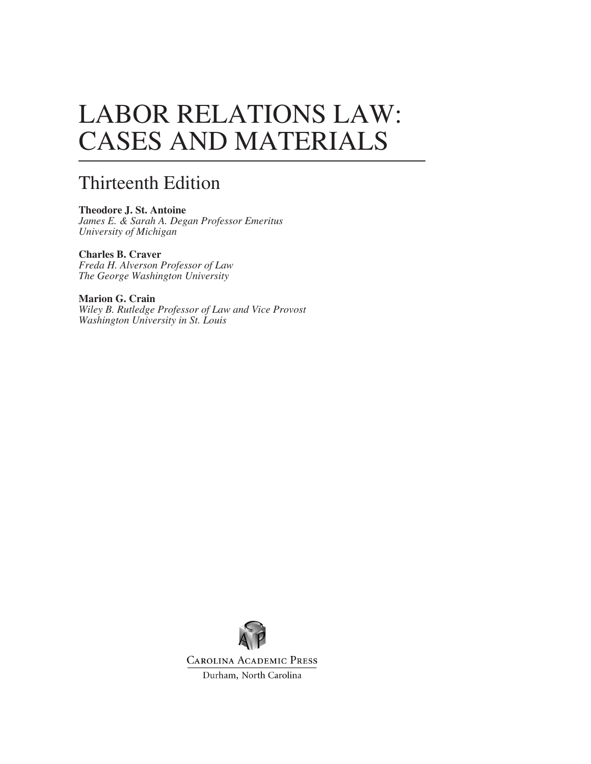# LABOR RELATIONS LAW: CASES AND MATERIALS

#### Thirteenth Edition

**Theodore J. St. Antoine** *James E. & Sarah A. Degan Professor Emeritus University of Michigan*

**Charles B. Craver** *Freda H. Alverson Professor of Law The George Washington University*

**Marion G. Crain** *Wiley B. Rutledge Professor of Law and Vice Provost Washington University in St. Louis*



**CAROLINA ACADEMIC PRESS** 

Durham, North Carolina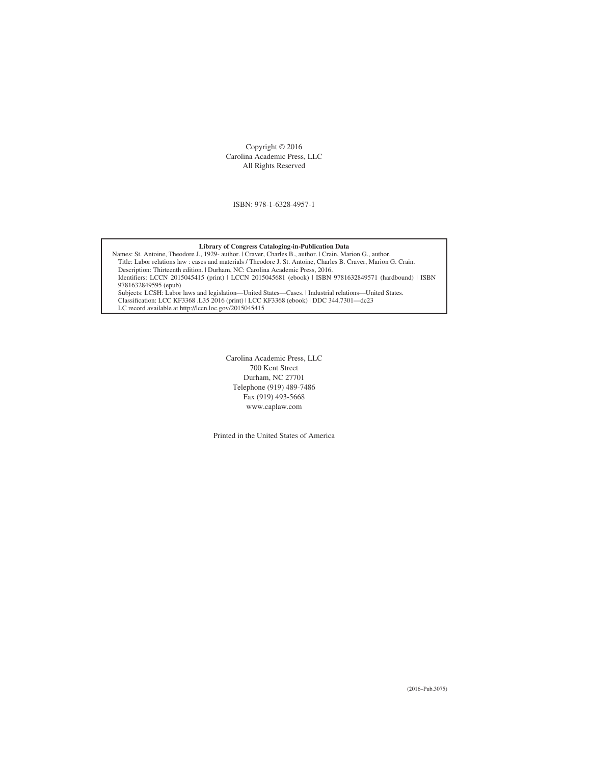Copyright © 2016 Carolina Academic Press, LLC All Rights Reserved

ISBN: 978-1-6328-4957-1

#### **Library of Congress Cataloging-in-Publication Data**

Names: St. Antoine, Theodore J., 1929- author. | Craver, Charles B., author. | Crain, Marion G., author. Title: Labor relations law : cases and materials / Theodore J. St. Antoine, Charles B. Craver, Marion G. Crain. Description: Thirteenth edition. | Durham, NC: Carolina Academic Press, 2016. Identifiers: LCCN 2015045415 (print) | LCCN 2015045681 (ebook) | ISBN 9781632849571 (hardbound) | ISBN 9781632849595 (epub) Subjects: LCSH: Labor laws and legislation—United States—Cases. | Industrial relations—United States. Classification: LCC KF3368 .L35 2016 (print) | LCC KF3368 (ebook) | DDC 344.7301—dc23 LC record available at http://lccn.loc.gov/2015045415

> Carolina Academic Press, LLC 700 Kent Street Durham, NC 27701 Telephone (919) 489-7486 Fax (919) 493-5668 www.caplaw.com

Printed in the United States of America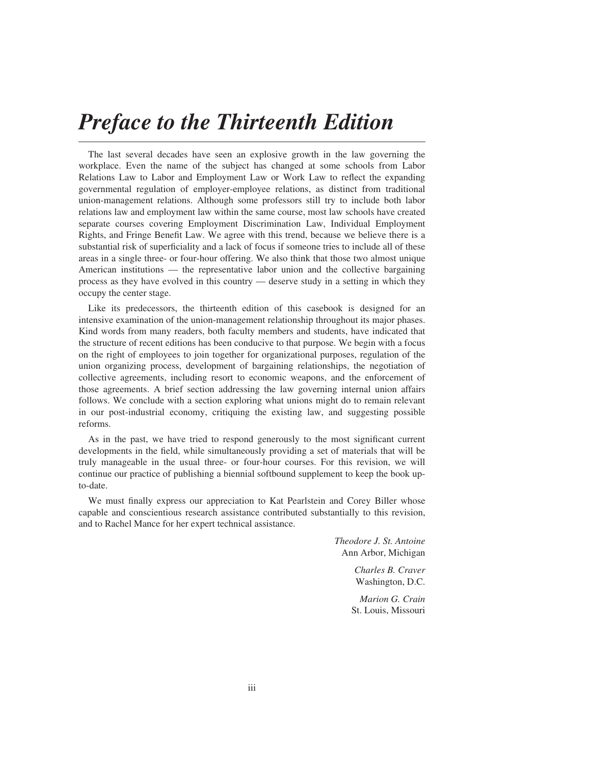## *Preface to the Thirteenth Edition*

The last several decades have seen an explosive growth in the law governing the workplace. Even the name of the subject has changed at some schools from Labor Relations Law to Labor and Employment Law or Work Law to reflect the expanding governmental regulation of employer-employee relations, as distinct from traditional union-management relations. Although some professors still try to include both labor relations law and employment law within the same course, most law schools have created separate courses covering Employment Discrimination Law, Individual Employment Rights, and Fringe Benefit Law. We agree with this trend, because we believe there is a substantial risk of superficiality and a lack of focus if someone tries to include all of these areas in a single three- or four-hour offering. We also think that those two almost unique American institutions — the representative labor union and the collective bargaining process as they have evolved in this country — deserve study in a setting in which they occupy the center stage.

Like its predecessors, the thirteenth edition of this casebook is designed for an intensive examination of the union-management relationship throughout its major phases. Kind words from many readers, both faculty members and students, have indicated that the structure of recent editions has been conducive to that purpose. We begin with a focus on the right of employees to join together for organizational purposes, regulation of the union organizing process, development of bargaining relationships, the negotiation of collective agreements, including resort to economic weapons, and the enforcement of those agreements. A brief section addressing the law governing internal union affairs follows. We conclude with a section exploring what unions might do to remain relevant in our post-industrial economy, critiquing the existing law, and suggesting possible reforms.

As in the past, we have tried to respond generously to the most significant current developments in the field, while simultaneously providing a set of materials that will be truly manageable in the usual three- or four-hour courses. For this revision, we will continue our practice of publishing a biennial softbound supplement to keep the book upto-date.

We must finally express our appreciation to Kat Pearlstein and Corey Biller whose capable and conscientious research assistance contributed substantially to this revision, and to Rachel Mance for her expert technical assistance.

> *Theodore J. St. Antoine* Ann Arbor, Michigan

> > *Charles B. Craver* Washington, D.C.

*Marion G. Crain* St. Louis, Missouri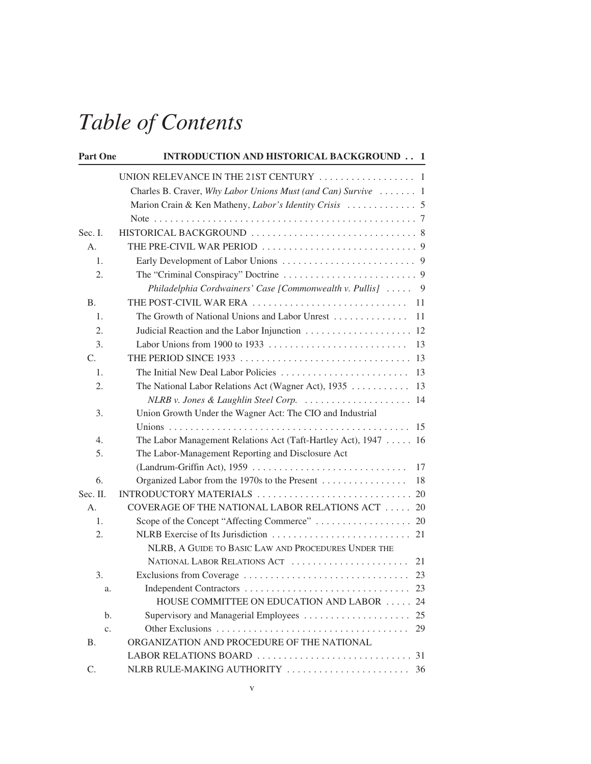| <b>Part One</b> | <b>INTRODUCTION AND HISTORICAL BACKGROUND 1</b>                 |    |
|-----------------|-----------------------------------------------------------------|----|
|                 |                                                                 |    |
|                 | Charles B. Craver, Why Labor Unions Must (and Can) Survive  1   |    |
|                 |                                                                 |    |
|                 |                                                                 |    |
| Sec. I.         |                                                                 |    |
| A.              |                                                                 |    |
| 1.              |                                                                 |    |
| 2.              |                                                                 |    |
|                 | Philadelphia Cordwainers' Case [Commonwealth v. Pullis]  9      |    |
| <b>B.</b>       |                                                                 |    |
| 1.              | The Growth of National Unions and Labor Unrest                  | 11 |
| 2.              |                                                                 |    |
| 3.              |                                                                 | 13 |
| $\mathcal{C}$ . |                                                                 |    |
| 1.              |                                                                 |    |
| 2.              | The National Labor Relations Act (Wagner Act), 1935             | 13 |
|                 | NLRB v. Jones & Laughlin Steel Corp.  14                        |    |
| 3.              | Union Growth Under the Wagner Act: The CIO and Industrial       |    |
|                 |                                                                 |    |
| 4.              | The Labor Management Relations Act (Taft-Hartley Act), 1947  16 |    |
| 5.              | The Labor-Management Reporting and Disclosure Act               |    |
|                 |                                                                 | 17 |
| 6.              | Organized Labor from the 1970s to the Present                   | 18 |
| Sec. II.        |                                                                 |    |
| Α.              | COVERAGE OF THE NATIONAL LABOR RELATIONS ACT $\ldots \ldots$ 20 |    |
| 1.              |                                                                 |    |
| 2.              |                                                                 |    |
|                 | NLRB, A GUIDE TO BASIC LAW AND PROCEDURES UNDER THE             |    |
| 3.              |                                                                 |    |
| a.              |                                                                 | 23 |
|                 | HOUSE COMMITTEE ON EDUCATION AND LABOR                          | 24 |
| b.              | Supervisory and Managerial Employees                            | 25 |
| c.              |                                                                 | 29 |
| Β.              | ORGANIZATION AND PROCEDURE OF THE NATIONAL                      |    |
|                 |                                                                 |    |
| C.              |                                                                 |    |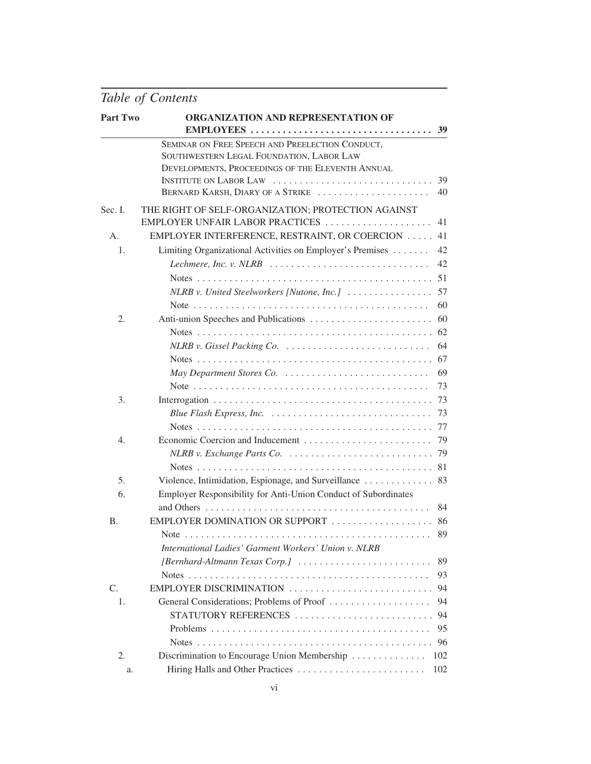| <b>Part Two</b>  | ORGANIZATION AND REPRESENTATION OF                                                        |     |
|------------------|-------------------------------------------------------------------------------------------|-----|
|                  |                                                                                           |     |
|                  | SEMINAR ON FREE SPEECH AND PREELECTION CONDUCT,                                           |     |
|                  | SOUTHWESTERN LEGAL FOUNDATION, LABOR LAW                                                  |     |
|                  | DEVELOPMENTS, PROCEEDINGS OF THE ELEVENTH ANNUAL                                          |     |
|                  | INSTITUTE ON LABOR LAW                                                                    | 39  |
|                  | BERNARD KARSH, DIARY OF A STRIKE                                                          | 40  |
| Sec. I.          | THE RIGHT OF SELF-ORGANIZATION; PROTECTION AGAINST<br>EMPLOYER UNFAIR LABOR PRACTICES     | 41  |
| А.               | EMPLOYER INTERFERENCE, RESTRAINT, OR COERCION                                             | 41  |
| 1.               | Limiting Organizational Activities on Employer's Premises                                 | 42  |
|                  | Lechmere, Inc. v. NLRB                                                                    | 42  |
|                  |                                                                                           | 51  |
|                  | NLRB v. United Steelworkers [Nutone, Inc.]                                                | 57  |
|                  |                                                                                           | 60  |
| 2.               |                                                                                           |     |
|                  |                                                                                           |     |
|                  |                                                                                           | 64  |
|                  |                                                                                           |     |
|                  |                                                                                           | 69  |
|                  |                                                                                           | 73  |
| 3.               |                                                                                           |     |
|                  |                                                                                           |     |
|                  |                                                                                           |     |
| $\overline{4}$ . |                                                                                           | 79  |
|                  |                                                                                           |     |
|                  |                                                                                           | 81  |
| 5.               |                                                                                           |     |
| 6.               | Employer Responsibility for Anti-Union Conduct of Subordinates                            |     |
|                  |                                                                                           | 84  |
| <b>B.</b>        | EMPLOYER DOMINATION OR SUPPORT  86                                                        |     |
|                  |                                                                                           |     |
|                  | International Ladies' Garment Workers' Union v. NLRB                                      |     |
|                  | $[Bernhard-Altmann \, Texas \, Corp.] \ \ldots \ldots \ldots \ldots \ldots \ldots \ldots$ | 89  |
|                  |                                                                                           | 93  |
| $C_{\cdot}$      | EMPLOYER DISCRIMINATION                                                                   | 94  |
| 1.               | General Considerations; Problems of Proof                                                 | 94  |
|                  | STATUTORY REFERENCES                                                                      | 94  |
|                  |                                                                                           | 95  |
|                  |                                                                                           | 96  |
| 2.               | Discrimination to Encourage Union Membership                                              | 102 |
| a.               | Hiring Halls and Other Practices                                                          | 102 |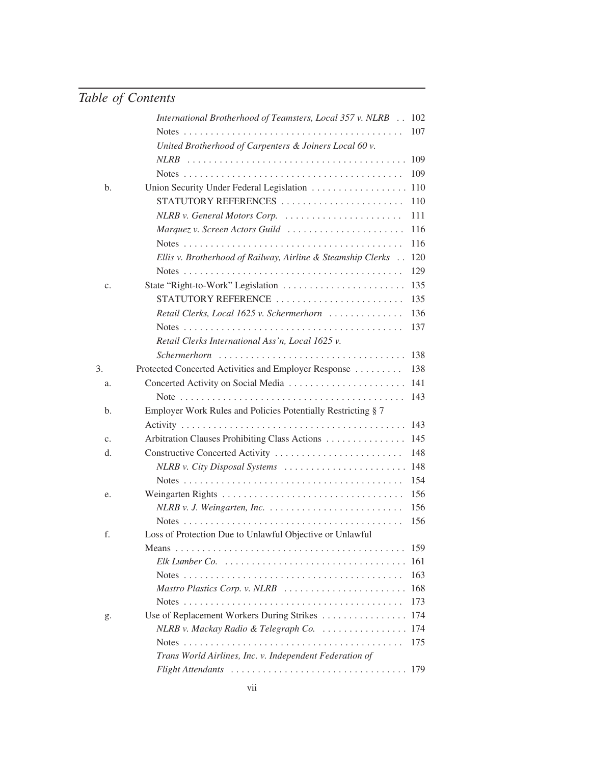|             | International Brotherhood of Teamsters, Local 357 v. NLRB            | 102  |
|-------------|----------------------------------------------------------------------|------|
|             |                                                                      | 107  |
|             | United Brotherhood of Carpenters & Joiners Local 60 v.               |      |
|             |                                                                      | 109  |
|             |                                                                      | 109  |
| b.          |                                                                      | 110  |
|             | STATUTORY REFERENCES                                                 | 110  |
|             | NLRB v. General Motors Corp.                                         | 111  |
|             | Marquez v. Screen Actors Guild                                       | 116  |
|             |                                                                      | 116  |
|             | Ellis v. Brotherhood of Railway, Airline & Steamship Clerks          | 120  |
|             |                                                                      | 129  |
| c.          | State "Right-to-Work" Legislation                                    | 135  |
|             | STATUTORY REFERENCE                                                  | 135  |
|             | Retail Clerks, Local 1625 v. Schermerhorn                            | 136  |
|             |                                                                      | 137  |
|             | Retail Clerks International Ass'n, Local 1625 v.                     |      |
|             |                                                                      | 138  |
| 3.          | Protected Concerted Activities and Employer Response                 | 138  |
| a.          |                                                                      | 141  |
|             |                                                                      | 143  |
| b.          | Employer Work Rules and Policies Potentially Restricting § 7         |      |
|             |                                                                      | 143  |
| $C_{\star}$ | Arbitration Clauses Prohibiting Class Actions                        | 145  |
| d.          | Constructive Concerted Activity                                      | 148  |
|             | NLRB v. City Disposal Systems                                        | 148  |
|             |                                                                      | 154  |
| e.          |                                                                      | 156  |
|             |                                                                      | 156  |
|             |                                                                      | 156  |
| f.          | Loss of Protection Due to Unlawful Objective or Unlawful             |      |
|             |                                                                      | 159  |
|             |                                                                      | 161  |
|             |                                                                      | 163  |
|             | Mastro Plastics Corp. v. NLRB                                        | 168  |
|             |                                                                      | 173  |
| g.          | Use of Replacement Workers During Strikes                            | 174  |
|             | $NLRB$ v. Mackay Radio & Telegraph Co. $\ldots \ldots \ldots \ldots$ | 174  |
|             |                                                                      | 175  |
|             | Trans World Airlines, Inc. v. Independent Federation of              |      |
|             | Flight Attendants                                                    | -179 |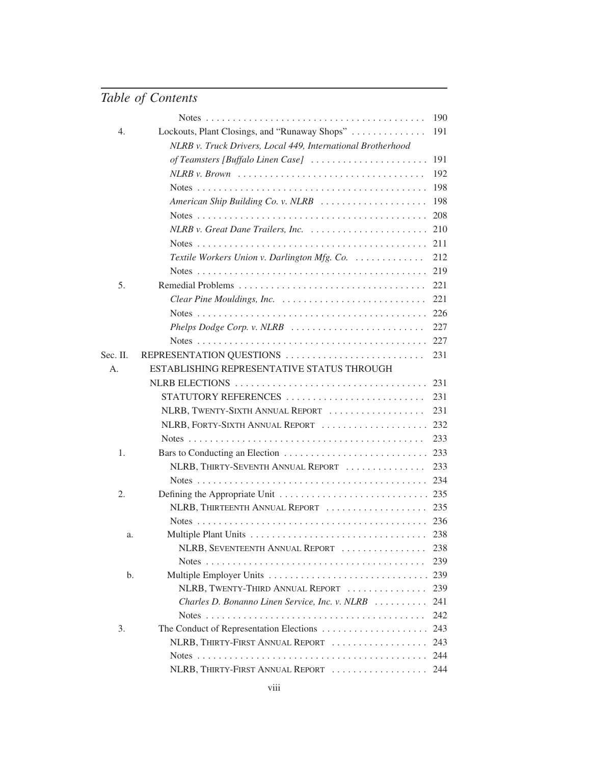|          |                                                                                  | 190 |
|----------|----------------------------------------------------------------------------------|-----|
| 4.       | Lockouts, Plant Closings, and "Runaway Shops"                                    | 191 |
|          | NLRB v. Truck Drivers, Local 449, International Brotherhood                      |     |
|          | of Teamsters [Buffalo Linen Case]                                                | 191 |
|          | $NLRB$ v. Brown $\ldots \ldots \ldots \ldots \ldots \ldots \ldots \ldots \ldots$ | 192 |
|          |                                                                                  | 198 |
|          | American Ship Building Co. v. NLRB $\ldots \ldots \ldots \ldots \ldots$          | 198 |
|          |                                                                                  | 208 |
|          | NLRB v. Great Dane Trailers, Inc.                                                | 210 |
|          |                                                                                  | 211 |
|          | Textile Workers Union v. Darlington Mfg. Co.                                     | 212 |
|          |                                                                                  | 219 |
| 5.       |                                                                                  | 221 |
|          | Clear Pine Mouldings, Inc.                                                       | 221 |
|          |                                                                                  | 226 |
|          |                                                                                  | 227 |
|          |                                                                                  | 227 |
| Sec. II. | REPRESENTATION QUESTIONS                                                         | 231 |
| А.       | ESTABLISHING REPRESENTATIVE STATUS THROUGH                                       |     |
|          | NLRB ELECTIONS                                                                   | 231 |
|          | STATUTORY REFERENCES                                                             | 231 |
|          | NLRB, TWENTY-SIXTH ANNUAL REPORT                                                 | 231 |
|          | NLRB, FORTY-SIXTH ANNUAL REPORT                                                  | 232 |
|          |                                                                                  | 233 |
| 1.       |                                                                                  | 233 |
|          | NLRB, THIRTY-SEVENTH ANNUAL REPORT                                               | 233 |
|          |                                                                                  | 234 |
| 2.       |                                                                                  | 235 |
|          | NLRB, THIRTEENTH ANNUAL REPORT                                                   | 235 |
|          |                                                                                  | 236 |
| a.       |                                                                                  | 238 |
|          | NLRB, SEVENTEENTH ANNUAL REPORT                                                  | 238 |
|          |                                                                                  | 239 |
| b.       | Multiple Employer Units                                                          | 239 |
|          | NLRB, TWENTY-THIRD ANNUAL REPORT                                                 | 239 |
|          | Charles D. Bonanno Linen Service, Inc. v. NLRB                                   | 241 |
|          |                                                                                  | 242 |
| 3.       |                                                                                  | 243 |
|          | NLRB, THIRTY-FIRST ANNUAL REPORT                                                 | 243 |
|          |                                                                                  | 244 |
|          | NLRB, THIRTY-FIRST ANNUAL REPORT                                                 | 244 |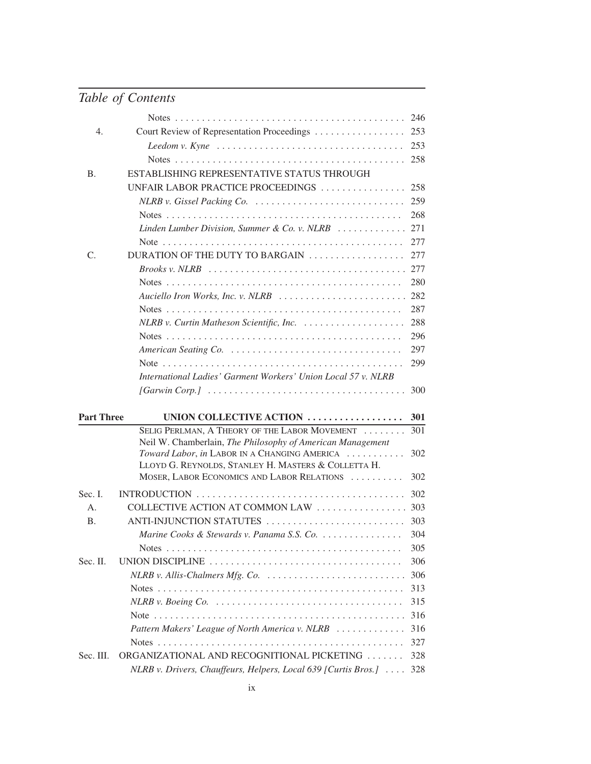|                   |                                                                                                        | 246        |
|-------------------|--------------------------------------------------------------------------------------------------------|------------|
| 4.                | Court Review of Representation Proceedings                                                             | 253        |
|                   |                                                                                                        | 253        |
|                   |                                                                                                        |            |
| <b>B.</b>         | ESTABLISHING REPRESENTATIVE STATUS THROUGH                                                             |            |
|                   | UNFAIR LABOR PRACTICE PROCEEDINGS                                                                      | 258        |
|                   | NLRB v. Gissel Packing Co.                                                                             | 259        |
|                   |                                                                                                        | 268        |
|                   | Linden Lumber Division, Summer & Co. v. NLRB $\ldots \ldots \ldots$                                    | 271        |
|                   |                                                                                                        | 277        |
| C.                | DURATION OF THE DUTY TO BARGAIN $\ldots \ldots \ldots \ldots \ldots$                                   | 277        |
|                   |                                                                                                        | 277        |
|                   |                                                                                                        | 280        |
|                   | Auciello Iron Works, Inc. v. NLRB                                                                      | 282        |
|                   |                                                                                                        | 287        |
|                   |                                                                                                        | 288        |
|                   |                                                                                                        | 296        |
|                   |                                                                                                        | 297        |
|                   |                                                                                                        | 299        |
|                   | International Ladies' Garment Workers' Union Local 57 v. NLRB                                          |            |
|                   | $[Garwin Corp.] \dots \dots \dots \dots \dots \dots \dots \dots \dots \dots \dots \dots \dots \dots$   | 300        |
|                   |                                                                                                        |            |
| <b>Part Three</b> | UNION COLLECTIVE ACTION                                                                                | 301        |
|                   | SELIG PERLMAN, A THEORY OF THE LABOR MOVEMENT                                                          | 301        |
|                   | Neil W. Chamberlain, The Philosophy of American Management                                             |            |
|                   | Toward Labor, in LABOR IN A CHANGING AMERICA<br>LLOYD G. REYNOLDS, STANLEY H. MASTERS & COLLETTA H.    | 302        |
|                   |                                                                                                        |            |
|                   |                                                                                                        |            |
|                   | MOSER, LABOR ECONOMICS AND LABOR RELATIONS                                                             | 302        |
| Sec. I.           |                                                                                                        | 302        |
| A.                | COLLECTIVE ACTION AT COMMON LAW                                                                        | 303        |
| <b>B.</b>         | ANTI-INJUNCTION STATUTES                                                                               | 303        |
|                   | Marine Cooks & Stewards v. Panama S.S. Co.                                                             | 304        |
|                   |                                                                                                        | 305        |
| Sec. II.          | UNION DISCIPLINE $\ldots \ldots \ldots \ldots \ldots \ldots \ldots \ldots \ldots \ldots \ldots \ldots$ | 306        |
|                   | $NLRB$ v. Allis-Chalmers Mfg. Co. $\ldots \ldots \ldots \ldots \ldots \ldots \ldots$                   | 306        |
|                   |                                                                                                        | 313        |
|                   |                                                                                                        | 315        |
|                   |                                                                                                        | 316        |
|                   | Pattern Makers' League of North America v. NLRB                                                        | 316        |
| Sec. III.         | ORGANIZATIONAL AND RECOGNITIONAL PICKETING                                                             | 327<br>328 |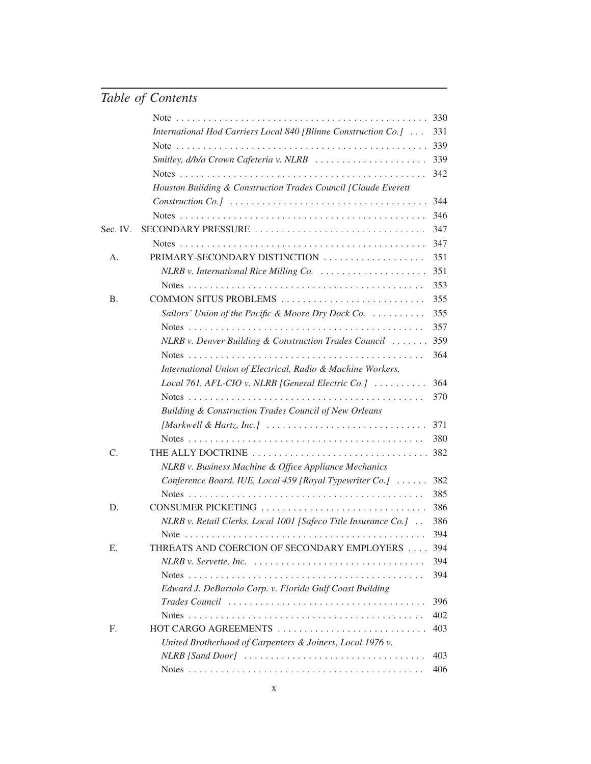|           |                                                                                           | 330 |
|-----------|-------------------------------------------------------------------------------------------|-----|
|           | International Hod Carriers Local 840 [Blinne Construction Co.]                            | 331 |
|           |                                                                                           | 339 |
|           | Smitley, d/b/a Crown Cafeteria v. NLRB                                                    | 339 |
|           |                                                                                           | 342 |
|           | Houston Building & Construction Trades Council [Claude Everett                            |     |
|           |                                                                                           | 344 |
|           |                                                                                           | 346 |
| Sec. IV.  | SECONDARY PRESSURE                                                                        | 347 |
|           |                                                                                           | 347 |
| Α.        | PRIMARY-SECONDARY DISTINCTION                                                             | 351 |
|           | $NLRB$ v. International Rice Milling Co. $\ldots \ldots \ldots \ldots \ldots$             | 351 |
|           |                                                                                           | 353 |
| <b>B.</b> | COMMON SITUS PROBLEMS                                                                     | 355 |
|           | Sailors' Union of the Pacific & Moore Dry Dock Co. $\ldots \ldots \ldots$                 | 355 |
|           |                                                                                           | 357 |
|           | NLRB v. Denver Building & Construction Trades Council                                     | 359 |
|           |                                                                                           | 364 |
|           | International Union of Electrical, Radio & Machine Workers,                               |     |
|           | Local 761, AFL-CIO v. NLRB [General Electric Co.] $\ldots \ldots \ldots$                  | 364 |
|           |                                                                                           | 370 |
|           | Building & Construction Trades Council of New Orleans                                     |     |
|           | [Markwell & Hartz, Inc.] $\ldots \ldots \ldots \ldots \ldots \ldots \ldots \ldots \ldots$ | 371 |
|           |                                                                                           | 380 |
| C.        | THE ALLY DOCTRINE                                                                         | 382 |
|           | NLRB v. Business Machine & Office Appliance Mechanics                                     |     |
|           | Conference Board, IUE, Local 459 [Royal Typewriter Co.]                                   | 382 |
|           |                                                                                           | 385 |
| D.        | CONSUMER PICKETING                                                                        | 386 |
|           | NLRB v. Retail Clerks, Local 1001 [Safeco Title Insurance Co.]                            | 386 |
|           |                                                                                           | 394 |
| Е.        | THREATS AND COERCION OF SECONDARY EMPLOYERS                                               | 394 |
|           |                                                                                           | 394 |
|           |                                                                                           | 394 |
|           | Edward J. DeBartolo Corp. v. Florida Gulf Coast Building                                  |     |
|           |                                                                                           | 396 |
|           |                                                                                           | 402 |
| F.        | HOT CARGO AGREEMENTS                                                                      | 403 |
|           | United Brotherhood of Carpenters & Joiners, Local 1976 v.                                 |     |
|           |                                                                                           | 403 |
|           |                                                                                           | 406 |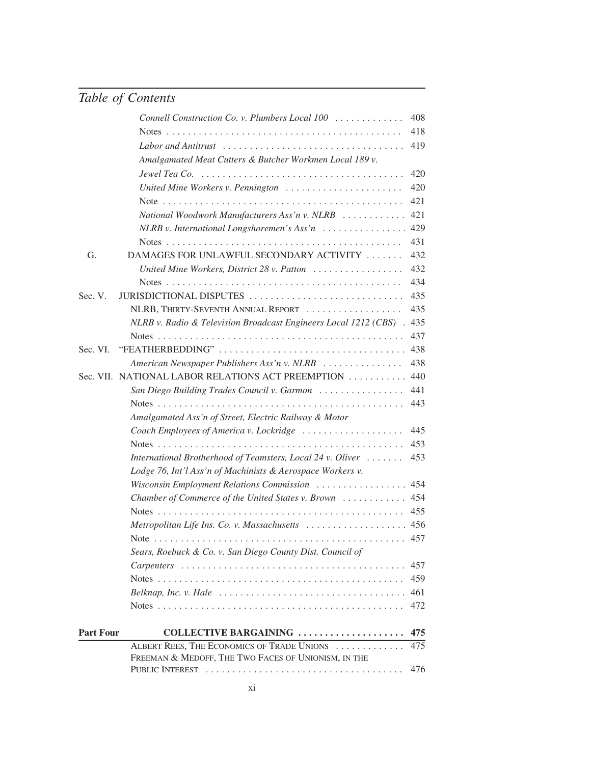|                  |                                                                                                         | 476 |
|------------------|---------------------------------------------------------------------------------------------------------|-----|
|                  | ALBERT REES, THE ECONOMICS OF TRADE UNIONS<br>FREEMAN & MEDOFF, THE TWO FACES OF UNIONISM, IN THE       | 475 |
| <b>Part Four</b> | COLLECTIVE BARGAINING                                                                                   | 475 |
|                  |                                                                                                         |     |
|                  |                                                                                                         | 472 |
|                  | $Belknap$ , Inc. v. Hale $\ldots \ldots \ldots \ldots \ldots \ldots \ldots \ldots \ldots \ldots \ldots$ | 461 |
|                  |                                                                                                         | 459 |
|                  |                                                                                                         | 457 |
|                  | Sears, Roebuck & Co. v. San Diego County Dist. Council of                                               |     |
|                  | Metropolitan Life Ins. Co. v. Massachusetts  456                                                        | 457 |
|                  |                                                                                                         |     |
|                  |                                                                                                         | 455 |
|                  | Wisconsin Employment Relations Commission<br>Chamber of Commerce of the United States v. Brown  454     | 454 |
|                  | Lodge 76, Int'l Ass'n of Machinists & Aerospace Workers v.                                              |     |
|                  | International Brotherhood of Teamsters, Local 24 v. Oliver                                              | 453 |
|                  |                                                                                                         | 453 |
|                  | Coach Employees of America v. Lockridge                                                                 | 445 |
|                  | Amalgamated Ass'n of Street, Electric Railway & Motor                                                   |     |
|                  |                                                                                                         | 443 |
|                  | San Diego Building Trades Council v. Garmon                                                             | 441 |
|                  | Sec. VII. NATIONAL LABOR RELATIONS ACT PREEMPTION                                                       | 440 |
|                  | American Newspaper Publishers Ass'n v. NLRB                                                             | 438 |
| Sec. VI.         | "FEATHERBEDDING"                                                                                        | 438 |
|                  |                                                                                                         | 437 |
|                  | NLRB v. Radio & Television Broadcast Engineers Local 1212 (CBS) . 435                                   |     |
|                  | NLRB, THIRTY-SEVENTH ANNUAL REPORT                                                                      | 435 |
| Sec. V.          | JURISDICTIONAL DISPUTES                                                                                 | 435 |
|                  |                                                                                                         | 434 |
|                  | United Mine Workers, District 28 v. Patton                                                              | 432 |
| G.               | DAMAGES FOR UNLAWFUL SECONDARY ACTIVITY                                                                 | 432 |
|                  |                                                                                                         | 431 |
|                  | $NLRB$ v. International Longshoremen's Ass'n $\ldots \ldots \ldots \ldots$                              | 429 |
|                  | National Woodwork Manufacturers Ass'n v. NLRB                                                           | 421 |
|                  |                                                                                                         | 421 |
|                  | United Mine Workers v. Pennington                                                                       | 420 |
|                  | Jewel Tea Co. $\ldots \ldots \ldots \ldots \ldots \ldots \ldots \ldots \ldots \ldots \ldots \ldots$     | 420 |
|                  | Amalgamated Meat Cutters & Butcher Workmen Local 189 v.                                                 |     |
|                  | Labor and Antitrust $\ldots \ldots \ldots \ldots \ldots \ldots \ldots \ldots \ldots \ldots$             | 419 |
|                  |                                                                                                         | 418 |
|                  | Connell Construction Co. v. Plumbers Local 100                                                          | 408 |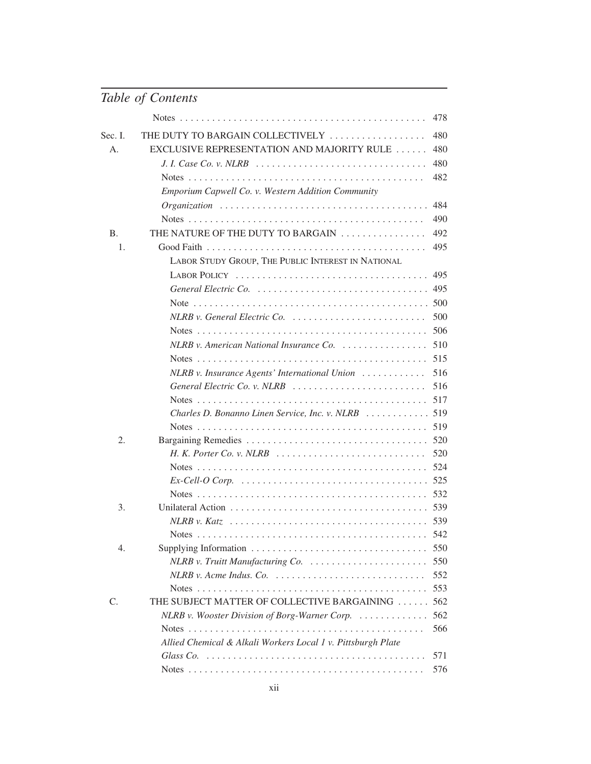|           |                                                                                                              | 478 |
|-----------|--------------------------------------------------------------------------------------------------------------|-----|
| Sec. I.   | THE DUTY TO BARGAIN COLLECTIVELY                                                                             | 480 |
| А.        | EXCLUSIVE REPRESENTATION AND MAJORITY RULE                                                                   | 480 |
|           | J. I. Case Co. v. NLRB $\ldots \ldots \ldots \ldots \ldots \ldots \ldots \ldots \ldots \ldots \ldots \ldots$ | 480 |
|           |                                                                                                              | 482 |
|           | Emporium Capwell Co. v. Western Addition Community                                                           |     |
|           |                                                                                                              | 484 |
|           |                                                                                                              | 490 |
| <b>B.</b> | THE NATURE OF THE DUTY TO BARGAIN                                                                            | 492 |
| 1.        |                                                                                                              | 495 |
|           | LABOR STUDY GROUP, THE PUBLIC INTEREST IN NATIONAL                                                           |     |
|           |                                                                                                              | 495 |
|           | General Electric Co. $\ldots \ldots \ldots \ldots \ldots \ldots \ldots \ldots \ldots \ldots$ 495             |     |
|           |                                                                                                              |     |
|           | $NLRB$ v. General Electric Co. $\ldots \ldots \ldots \ldots \ldots \ldots$                                   | 500 |
|           |                                                                                                              | 506 |
|           | NLRB v. American National Insurance Co.                                                                      | 510 |
|           |                                                                                                              | 515 |
|           | $NLRB$ v. Insurance Agents' International Union $\ldots \ldots \ldots$                                       | 516 |
|           | General Electric Co. v. NLRB                                                                                 | 516 |
|           |                                                                                                              | 517 |
|           | Charles D. Bonanno Linen Service, Inc. v. NLRB  519                                                          |     |
|           |                                                                                                              | 519 |
| 2.        |                                                                                                              | 520 |
|           | H. K. Porter Co. v. NLRB $\ldots \ldots \ldots \ldots \ldots \ldots \ldots \ldots$                           | 520 |
|           |                                                                                                              | 524 |
|           |                                                                                                              |     |
|           |                                                                                                              | 532 |
| 3.        |                                                                                                              |     |
|           |                                                                                                              |     |
|           |                                                                                                              |     |
| 4.        |                                                                                                              | 550 |
|           |                                                                                                              | 550 |
|           |                                                                                                              | 552 |
|           |                                                                                                              | 553 |
| C.        | THE SUBJECT MATTER OF COLLECTIVE BARGAINING                                                                  | 562 |
|           | NLRB v. Wooster Division of Borg-Warner Corp.                                                                | 562 |
|           |                                                                                                              | 566 |
|           | Allied Chemical & Alkali Workers Local 1 v. Pittsburgh Plate                                                 | 571 |
|           |                                                                                                              | 576 |
|           |                                                                                                              |     |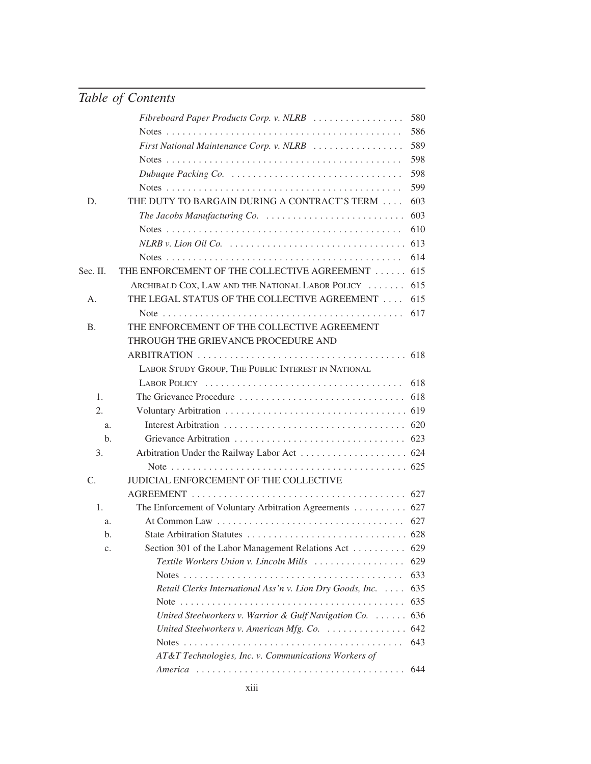|                  | Fibreboard Paper Products Corp. v. NLRB                                         | 580 |
|------------------|---------------------------------------------------------------------------------|-----|
|                  |                                                                                 | 586 |
|                  | First National Maintenance Corp. v. NLRB                                        | 589 |
|                  |                                                                                 | 598 |
|                  |                                                                                 | 598 |
|                  |                                                                                 | 599 |
| D.               | THE DUTY TO BARGAIN DURING A CONTRACT'S TERM                                    | 603 |
|                  | The Jacobs Manufacturing Co. $\ldots \ldots \ldots \ldots \ldots \ldots \ldots$ | 603 |
|                  |                                                                                 | 610 |
|                  |                                                                                 | 613 |
|                  |                                                                                 | 614 |
| Sec. II.         | THE ENFORCEMENT OF THE COLLECTIVE AGREEMENT                                     | 615 |
|                  | ARCHIBALD COX, LAW AND THE NATIONAL LABOR POLICY                                | 615 |
| A.               | THE LEGAL STATUS OF THE COLLECTIVE AGREEMENT                                    | 615 |
|                  |                                                                                 | 617 |
| Β.               | THE ENFORCEMENT OF THE COLLECTIVE AGREEMENT                                     |     |
|                  | THROUGH THE GRIEVANCE PROCEDURE AND                                             |     |
|                  |                                                                                 |     |
|                  | LABOR STUDY GROUP, THE PUBLIC INTEREST IN NATIONAL                              |     |
|                  |                                                                                 | 618 |
| 1.               | The Grievance Procedure                                                         | 618 |
| $\overline{2}$ . |                                                                                 |     |
| a.               |                                                                                 |     |
| b.               |                                                                                 |     |
| 3.               |                                                                                 |     |
|                  |                                                                                 |     |
| $C_{\cdot}$      | JUDICIAL ENFORCEMENT OF THE COLLECTIVE                                          |     |
|                  |                                                                                 |     |
| 1.               | The Enforcement of Voluntary Arbitration Agreements  627                        |     |
| a.               |                                                                                 | 627 |
| b.               |                                                                                 |     |
| c.               | Section 301 of the Labor Management Relations Act                               | 629 |
|                  | Textile Workers Union v. Lincoln Mills                                          | 629 |
|                  |                                                                                 | 633 |
|                  | Retail Clerks International Ass'n v. Lion Dry Goods, Inc.                       | 635 |
|                  |                                                                                 | 635 |
|                  | United Steelworkers v. Warrior & Gulf Navigation Co.                            | 636 |
|                  | United Steelworkers v. American Mfg. Co.                                        | 642 |
|                  |                                                                                 | 643 |
|                  | AT&T Technologies, Inc. v. Communications Workers of                            |     |
|                  |                                                                                 | 644 |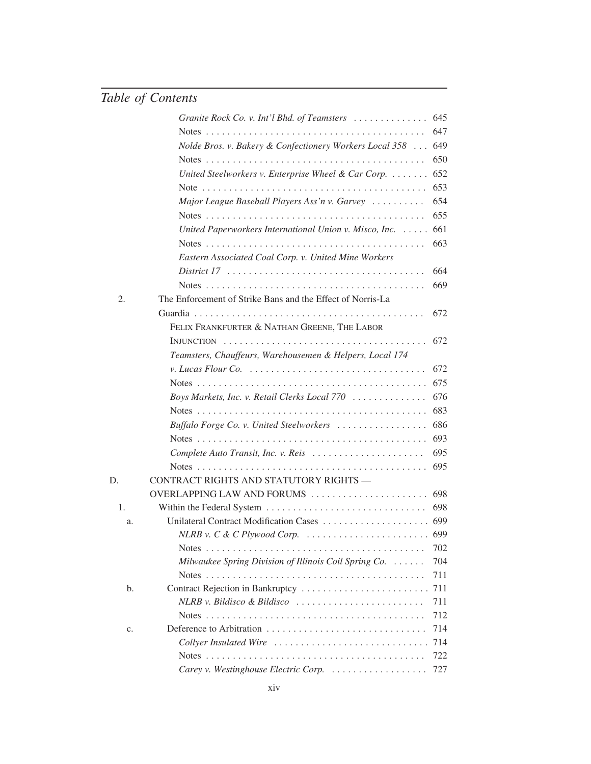|    | Granite Rock Co. v. Int'l Bhd. of Teamsters $\ldots \ldots \ldots \ldots$                 | 645 |
|----|-------------------------------------------------------------------------------------------|-----|
|    |                                                                                           | 647 |
|    | Nolde Bros. v. Bakery & Confectionery Workers Local 358                                   | 649 |
|    |                                                                                           | 650 |
|    | United Steelworkers v. Enterprise Wheel & Car Corp. $\dots \dots$                         | 652 |
|    |                                                                                           | 653 |
|    | Major League Baseball Players Ass'n v. Garvey                                             | 654 |
|    |                                                                                           | 655 |
|    | United Paperworkers International Union v. Misco, Inc.                                    | 661 |
|    |                                                                                           | 663 |
|    | Eastern Associated Coal Corp. v. United Mine Workers                                      |     |
|    |                                                                                           | 664 |
|    |                                                                                           | 669 |
| 2. | The Enforcement of Strike Bans and the Effect of Norris-La                                |     |
|    |                                                                                           | 672 |
|    | FELIX FRANKFURTER & NATHAN GREENE, THE LABOR                                              |     |
|    | $INJUNCTION \ldots \ldots \ldots \ldots \ldots \ldots \ldots \ldots \ldots \ldots \ldots$ | 672 |
|    | Teamsters, Chauffeurs, Warehousemen & Helpers, Local 174                                  |     |
|    | v. Lucas Flour Co. $\ldots \ldots \ldots \ldots \ldots \ldots \ldots \ldots \ldots$       | 672 |
|    |                                                                                           | 675 |
|    | Boys Markets, Inc. v. Retail Clerks Local 770                                             | 676 |
|    |                                                                                           | 683 |
|    | Buffalo Forge Co. v. United Steelworkers                                                  | 686 |
|    |                                                                                           | 693 |
|    | Complete Auto Transit, Inc. v. Reis                                                       | 695 |
|    |                                                                                           | 695 |
| D. | CONTRACT RIGHTS AND STATUTORY RIGHTS -                                                    |     |
|    | OVERLAPPING LAW AND FORUMS                                                                | 698 |
| 1. |                                                                                           | 698 |
| a. |                                                                                           |     |
|    | NLRB v. C & C Plywood Corp. $\ldots \ldots \ldots \ldots \ldots \ldots \ldots$ 699        |     |
|    |                                                                                           | 702 |
|    | Milwaukee Spring Division of Illinois Coil Spring Co.                                     | 704 |
|    |                                                                                           | 711 |
| b. | Contract Rejection in Bankruptcy                                                          | 711 |
|    |                                                                                           | 711 |
|    |                                                                                           | 712 |
| c. |                                                                                           | 714 |
|    | Collyer Insulated Wire                                                                    | 714 |
|    |                                                                                           | 722 |
|    | Carey v. Westinghouse Electric Corp.  727                                                 |     |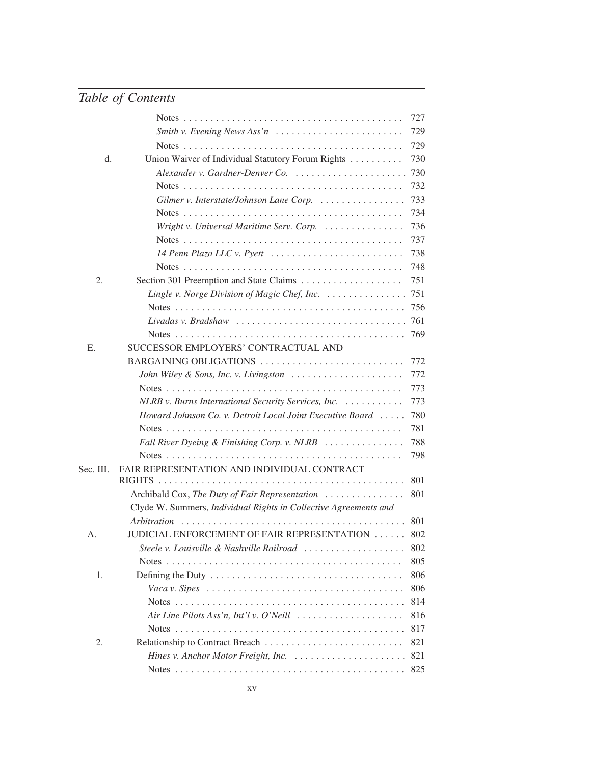|           |                                                                                                     | 727 |
|-----------|-----------------------------------------------------------------------------------------------------|-----|
|           | Smith v. Evening News Ass'n $\ldots \ldots \ldots \ldots \ldots \ldots \ldots$                      | 729 |
|           |                                                                                                     | 729 |
| d.        | Union Waiver of Individual Statutory Forum Rights                                                   | 730 |
|           | Alexander v. Gardner-Denver Co.                                                                     | 730 |
|           |                                                                                                     | 732 |
|           | Gilmer v. Interstate/Johnson Lane Corp.                                                             | 733 |
|           |                                                                                                     | 734 |
|           | Wright v. Universal Maritime Serv. Corp.                                                            | 736 |
|           |                                                                                                     | 737 |
|           | 14 Penn Plaza LLC v. Pyett                                                                          | 738 |
|           |                                                                                                     | 748 |
| 2.        |                                                                                                     | 751 |
|           | Lingle v. Norge Division of Magic Chef, Inc. $\ldots \ldots \ldots \ldots$                          | 751 |
|           |                                                                                                     | 756 |
|           | Livadas v. Bradshaw                                                                                 | 761 |
|           |                                                                                                     | 769 |
| Ε.        | SUCCESSOR EMPLOYERS' CONTRACTUAL AND                                                                |     |
|           | BARGAINING OBLIGATIONS                                                                              | 772 |
|           | John Wiley & Sons, Inc. v. Livingston                                                               | 772 |
|           |                                                                                                     | 773 |
|           | NLRB v. Burns International Security Services, Inc.                                                 | 773 |
|           | Howard Johnson Co. v. Detroit Local Joint Executive Board                                           | 780 |
|           |                                                                                                     | 781 |
|           | Fall River Dyeing & Finishing Corp. v. NLRB                                                         | 788 |
|           |                                                                                                     | 798 |
| Sec. III. | FAIR REPRESENTATION AND INDIVIDUAL CONTRACT                                                         |     |
|           |                                                                                                     | 801 |
|           | Archibald Cox, The Duty of Fair Representation                                                      | 801 |
|           | Clyde W. Summers, Individual Rights in Collective Agreements and                                    |     |
|           |                                                                                                     | 801 |
| А.        | JUDICIAL ENFORCEMENT OF FAIR REPRESENTATION                                                         | 802 |
|           | Steele v. Louisville & Nashville Railroad                                                           | 802 |
|           |                                                                                                     | 805 |
| 1.        |                                                                                                     | 806 |
|           | Vaca v. Sipes $\ldots \ldots \ldots \ldots \ldots \ldots \ldots \ldots \ldots \ldots \ldots \ldots$ | 806 |
|           |                                                                                                     | 814 |
|           | Air Line Pilots Ass'n, Int'l v. O'Neill                                                             | 816 |
|           |                                                                                                     | 817 |
| 2.        |                                                                                                     | 821 |
|           |                                                                                                     | 821 |
|           |                                                                                                     |     |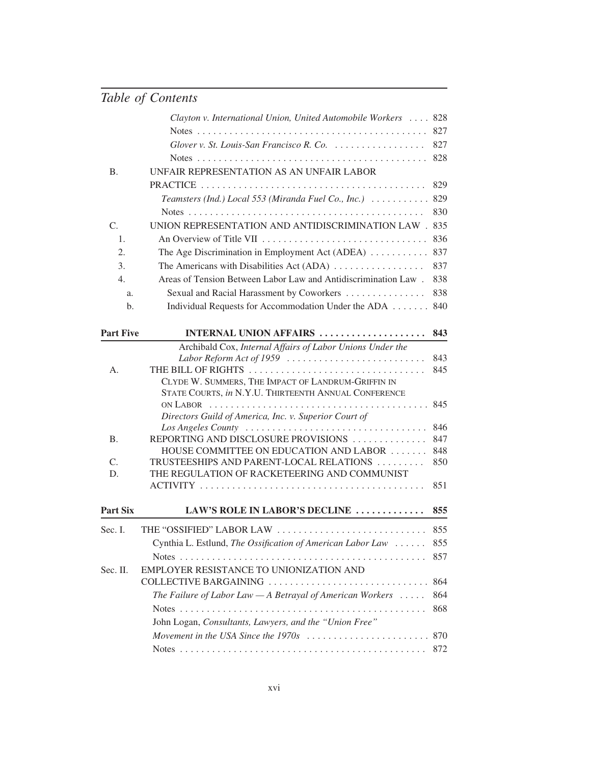|                  | Clayton v. International Union, United Automobile Workers  828                                             |     |
|------------------|------------------------------------------------------------------------------------------------------------|-----|
|                  |                                                                                                            | 827 |
|                  | Glover v. St. Louis-San Francisco R. Co.                                                                   | 827 |
|                  |                                                                                                            | 828 |
| <b>B.</b>        | UNFAIR REPRESENTATION AS AN UNFAIR LABOR                                                                   |     |
|                  |                                                                                                            | 829 |
|                  | Teamsters (Ind.) Local 553 (Miranda Fuel Co., Inc.) $\ldots \ldots \ldots$                                 | 829 |
|                  |                                                                                                            | 830 |
| C.               | UNION REPRESENTATION AND ANTIDISCRIMINATION LAW . 835                                                      |     |
| 1.               |                                                                                                            | 836 |
| 2.               | The Age Discrimination in Employment Act (ADEA)                                                            | 837 |
| 3.               | The Americans with Disabilities Act (ADA)                                                                  | 837 |
| 4.               | Areas of Tension Between Labor Law and Antidiscrimination Law.                                             | 838 |
| a.               | Sexual and Racial Harassment by Coworkers                                                                  | 838 |
| b.               | Individual Requests for Accommodation Under the ADA                                                        | 840 |
| <b>Part Five</b> | <b>INTERNAL UNION AFFAIRS </b>                                                                             | 843 |
|                  | Archibald Cox, Internal Affairs of Labor Unions Under the                                                  |     |
|                  | Labor Reform Act of 1959                                                                                   | 843 |
| А.               | THE BILL OF RIGHTS                                                                                         | 845 |
|                  | CLYDE W. SUMMERS, THE IMPACT OF LANDRUM-GRIFFIN IN<br>STATE COURTS, in N.Y.U. THIRTEENTH ANNUAL CONFERENCE |     |
|                  | ON LABOR $\dots\dots\dots\dots\dots\dots\dots\dots\dots\dots\dots\dots\dots\dots\dots$                     | 845 |
|                  | Directors Guild of America, Inc. v. Superior Court of                                                      |     |
|                  |                                                                                                            | 846 |
| <b>B.</b>        | REPORTING AND DISCLOSURE PROVISIONS                                                                        | 847 |
|                  | HOUSE COMMITTEE ON EDUCATION AND LABOR                                                                     | 848 |
| C.               | TRUSTEESHIPS AND PARENT-LOCAL RELATIONS                                                                    | 850 |
| D.               | THE REGULATION OF RACKETEERING AND COMMUNIST                                                               |     |
|                  |                                                                                                            | 851 |
| <b>Part Six</b>  | LAW'S ROLE IN LABOR'S DECLINE                                                                              | 855 |
| Sec. I.          | THE "OSSIFIED" LABOR LAW                                                                                   | 855 |
|                  | Cynthia L. Estlund, The Ossification of American Labor Law                                                 | 855 |
|                  |                                                                                                            | 857 |
| Sec. II.         | EMPLOYER RESISTANCE TO UNIONIZATION AND                                                                    |     |
|                  | COLLECTIVE BARGAINING                                                                                      | 864 |
|                  | The Failure of Labor Law $-A$ Betrayal of American Workers $\ldots$ .                                      | 864 |
|                  |                                                                                                            | 868 |
|                  | John Logan, Consultants, Lawyers, and the "Union Free"                                                     |     |
|                  |                                                                                                            | 870 |
|                  |                                                                                                            | 872 |